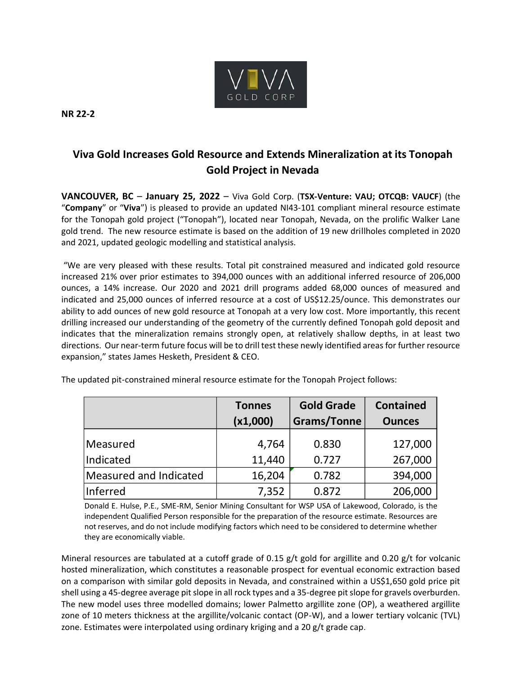

**NR 22-2**

## **Viva Gold Increases Gold Resource and Extends Mineralization at its Tonopah Gold Project in Nevada**

**VANCOUVER, BC** – **January 25, 2022** – Viva Gold Corp. (**TSX-Venture: VAU; OTCQB: VAUCF**) (the "**Company**" or "**Viva**") is pleased to provide an updated NI43-101 compliant mineral resource estimate for the Tonopah gold project ("Tonopah"), located near Tonopah, Nevada, on the prolific Walker Lane gold trend. The new resource estimate is based on the addition of 19 new drillholes completed in 2020 and 2021, updated geologic modelling and statistical analysis.

"We are very pleased with these results. Total pit constrained measured and indicated gold resource increased 21% over prior estimates to 394,000 ounces with an additional inferred resource of 206,000 ounces, a 14% increase. Our 2020 and 2021 drill programs added 68,000 ounces of measured and indicated and 25,000 ounces of inferred resource at a cost of US\$12.25/ounce. This demonstrates our ability to add ounces of new gold resource at Tonopah at a very low cost. More importantly, this recent drilling increased our understanding of the geometry of the currently defined Tonopah gold deposit and indicates that the mineralization remains strongly open, at relatively shallow depths, in at least two directions. Our near-term future focus will be to drill test these newly identified areas for further resource expansion," states James Hesketh, President & CEO.

|                        | <b>Tonnes</b>   | <b>Gold Grade</b>  | <b>Contained</b>   |
|------------------------|-----------------|--------------------|--------------------|
|                        | (x1,000)        | <b>Grams/Tonne</b> | <b>Ounces</b>      |
| Measured<br>Indicated  | 4,764<br>11,440 | 0.830<br>0.727     | 127,000<br>267,000 |
| Measured and Indicated | 16,204          | 0.782              | 394,000            |
| Inferred               | 7,352           | 0.872              | 206,000            |

The updated pit-constrained mineral resource estimate for the Tonopah Project follows:

Donald E. Hulse, P.E., SME-RM, Senior Mining Consultant for WSP USA of Lakewood, Colorado, is the independent Qualified Person responsible for the preparation of the resource estimate. Resources are not reserves, and do not include modifying factors which need to be considered to determine whether they are economically viable.

Mineral resources are tabulated at a cutoff grade of 0.15 g/t gold for argillite and 0.20 g/t for volcanic hosted mineralization, which constitutes a reasonable prospect for eventual economic extraction based on a comparison with similar gold deposits in Nevada, and constrained within a US\$1,650 gold price pit shell using a 45-degree average pit slope in all rock types and a 35-degree pit slope for gravels overburden. The new model uses three modelled domains; lower Palmetto argillite zone (OP), a weathered argillite zone of 10 meters thickness at the argillite/volcanic contact (OP-W), and a lower tertiary volcanic (TVL) zone. Estimates were interpolated using ordinary kriging and a 20 g/t grade cap.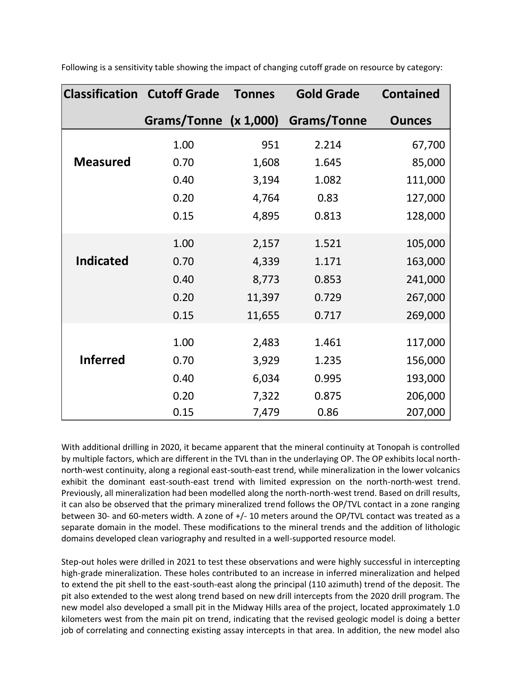|                  | <b>Classification Cutoff Grade</b> | <b>Tonnes</b> | <b>Gold Grade</b>  | <b>Contained</b> |
|------------------|------------------------------------|---------------|--------------------|------------------|
|                  | Grams/Tonne (x 1,000)              |               | <b>Grams/Tonne</b> | <b>Ounces</b>    |
|                  | 1.00                               | 951           | 2.214              | 67,700           |
| <b>Measured</b>  | 0.70                               | 1,608         | 1.645              | 85,000           |
|                  | 0.40                               | 3,194         | 1.082              | 111,000          |
|                  | 0.20                               | 4,764         | 0.83               | 127,000          |
|                  | 0.15                               | 4,895         | 0.813              | 128,000          |
|                  | 1.00                               | 2,157         | 1.521              | 105,000          |
| <b>Indicated</b> | 0.70                               | 4,339         | 1.171              | 163,000          |
|                  | 0.40                               | 8,773         | 0.853              | 241,000          |
|                  | 0.20                               | 11,397        | 0.729              | 267,000          |
|                  | 0.15                               | 11,655        | 0.717              | 269,000          |
|                  | 1.00                               | 2,483         | 1.461              | 117,000          |
| <b>Inferred</b>  | 0.70                               | 3,929         | 1.235              | 156,000          |
|                  | 0.40                               | 6,034         | 0.995              | 193,000          |
|                  | 0.20                               | 7,322         | 0.875              | 206,000          |
|                  | 0.15                               | 7,479         | 0.86               | 207,000          |

Following is a sensitivity table showing the impact of changing cutoff grade on resource by category:

With additional drilling in 2020, it became apparent that the mineral continuity at Tonopah is controlled by multiple factors, which are different in the TVL than in the underlaying OP. The OP exhibits local northnorth-west continuity, along a regional east-south-east trend, while mineralization in the lower volcanics exhibit the dominant east-south-east trend with limited expression on the north-north-west trend. Previously, all mineralization had been modelled along the north-north-west trend. Based on drill results, it can also be observed that the primary mineralized trend follows the OP/TVL contact in a zone ranging between 30- and 60-meters width. A zone of +/- 10 meters around the OP/TVL contact was treated as a separate domain in the model. These modifications to the mineral trends and the addition of lithologic domains developed clean variography and resulted in a well-supported resource model.

Step-out holes were drilled in 2021 to test these observations and were highly successful in intercepting high-grade mineralization. These holes contributed to an increase in inferred mineralization and helped to extend the pit shell to the east-south-east along the principal (110 azimuth) trend of the deposit. The pit also extended to the west along trend based on new drill intercepts from the 2020 drill program. The new model also developed a small pit in the Midway Hills area of the project, located approximately 1.0 kilometers west from the main pit on trend, indicating that the revised geologic model is doing a better job of correlating and connecting existing assay intercepts in that area. In addition, the new model also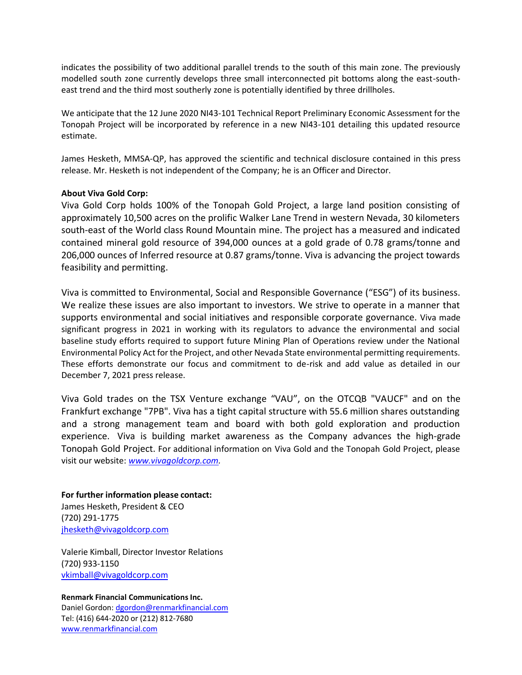indicates the possibility of two additional parallel trends to the south of this main zone. The previously modelled south zone currently develops three small interconnected pit bottoms along the east-southeast trend and the third most southerly zone is potentially identified by three drillholes.

We anticipate that the 12 June 2020 NI43-101 Technical Report Preliminary Economic Assessment for the Tonopah Project will be incorporated by reference in a new NI43-101 detailing this updated resource estimate.

James Hesketh, MMSA-QP, has approved the scientific and technical disclosure contained in this press release. Mr. Hesketh is not independent of the Company; he is an Officer and Director.

## **About Viva Gold Corp:**

Viva Gold Corp holds 100% of the Tonopah Gold Project, a large land position consisting of approximately 10,500 acres on the prolific Walker Lane Trend in western Nevada, 30 kilometers south-east of the World class Round Mountain mine. The project has a measured and indicated contained mineral gold resource of 394,000 ounces at a gold grade of 0.78 grams/tonne and 206,000 ounces of Inferred resource at 0.87 grams/tonne. Viva is advancing the project towards feasibility and permitting.

Viva is committed to Environmental, Social and Responsible Governance ("ESG") of its business. We realize these issues are also important to investors. We strive to operate in a manner that supports environmental and social initiatives and responsible corporate governance. Viva made significant progress in 2021 in working with its regulators to advance the environmental and social baseline study efforts required to support future Mining Plan of Operations review under the National Environmental Policy Act for the Project, and other Nevada State environmental permitting requirements. These efforts demonstrate our focus and commitment to de-risk and add value as detailed in our December 7, 2021 press release.

Viva Gold trades on the TSX Venture exchange "VAU", on the OTCQB "VAUCF" and on the Frankfurt exchange "7PB". Viva has a tight capital structure with 55.6 million shares outstanding and a strong management team and board with both gold exploration and production experience. Viva is building market awareness as the Company advances the high-grade Tonopah Gold Project. For additional information on Viva Gold and the Tonopah Gold Project, please visit our website: *www.vivagoldcorp.com.*

**For further information please contact:** James Hesketh, President & CEO (720) 291-1775 [jhesketh@vivagoldcorp.com](mailto:jhesketh@vivagoldcorp.com)

Valerie Kimball, Director Investor Relations (720) 933-1150 [vkimball@vivagoldcorp.com](mailto:vkimball@vivagoldcorp.com)

**Renmark Financial Communications Inc.** Daniel Gordon: [dgordon@renmarkfinancial.com](mailto:dgordon@renmarkfinancial.com) Tel: (416) 644-2020 or (212) 812-7680 [www.renmarkfinancial.com](http://www.renmarkfinancial.com/)